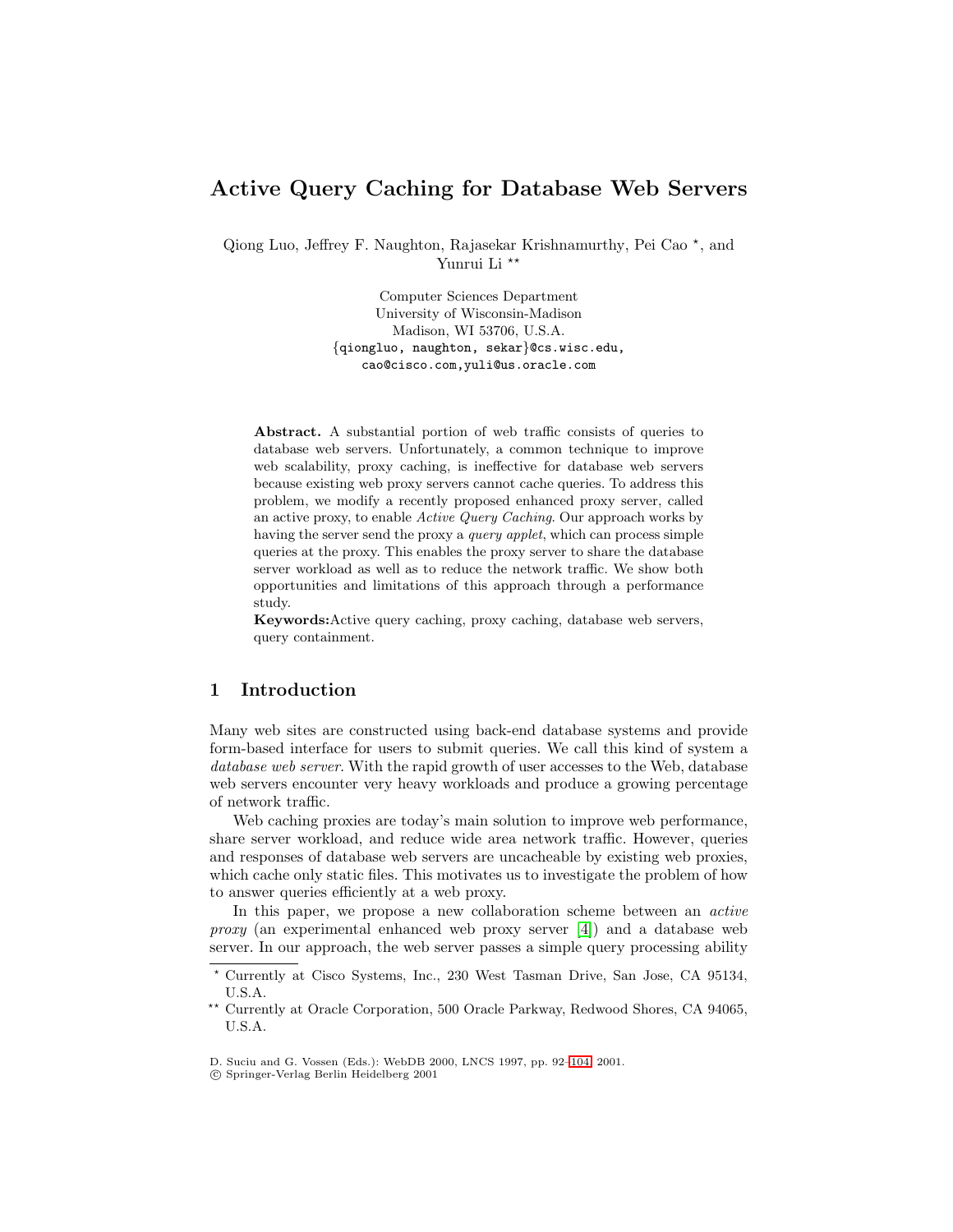# <span id="page-0-0"></span>**Active Query Caching for Database Web Servers**

Qiong Luo, Jeffrey F. Naughton, Rajasekar Krishnamurthy, Pei Cao ?, and Yunrui Li<sup>\*\*</sup>

> Computer Sciences Department University of Wisconsin-Madison Madison, WI 53706, U.S.A. {qiongluo, naughton, sekar}@cs.wisc.edu, cao@cisco.com,yuli@us.oracle.com

**Abstract.** A substantial portion of web traffic consists of queries to database web servers. Unfortunately, a common technique to improve web scalability, proxy caching, is ineffective for database web servers because existing web proxy servers cannot cache queries. To address this problem, we modify a recently proposed enhanced proxy server, called an active proxy, to enable Active Query Caching. Our approach works by having the server send the proxy a query applet, which can process simple queries at the proxy. This enables the proxy server to share the database server workload as well as to reduce the network traffic. We show both opportunities and limitations of this approach through a performance study.

**Keywords:**Active query caching, proxy caching, database web servers, query containment.

### **1 Introduction**

Many web sites are constructed using back-end database systems and provide form-based interface for users to submit queries. We call this kind of system a database web server. With the rapid growth of user accesses to the Web, database web servers encounter very heavy workloads and produce a growing percentage of network traffic.

Web caching proxies are today's main solution to improve web performance, share server workload, and reduce wide area network traffic. However, queries and responses of database web servers are uncacheable by existing web proxies, which cache only static files. This motivates us to investigate the problem of how to answer queries efficiently at a web proxy.

In this paper, we propose a new collaboration scheme between an active proxy (an experimental enhanced web proxy server [\[4\]](#page-11-0)) and a database web server. In our approach, the web server passes a simple query processing ability

<sup>?</sup> Currently at Cisco Systems, Inc., 230 West Tasman Drive, San Jose, CA 95134, U.S.A.

<sup>\*\*</sup> Currently at Oracle Corporation, 500 Oracle Parkway, Redwood Shores, CA 94065, U.S.A.

D. Suciu and G. Vossen (Eds.): WebDB 2000, LNCS 1997, pp. 92[–104,](#page-12-0) 2001.

c Springer-Verlag Berlin Heidelberg 2001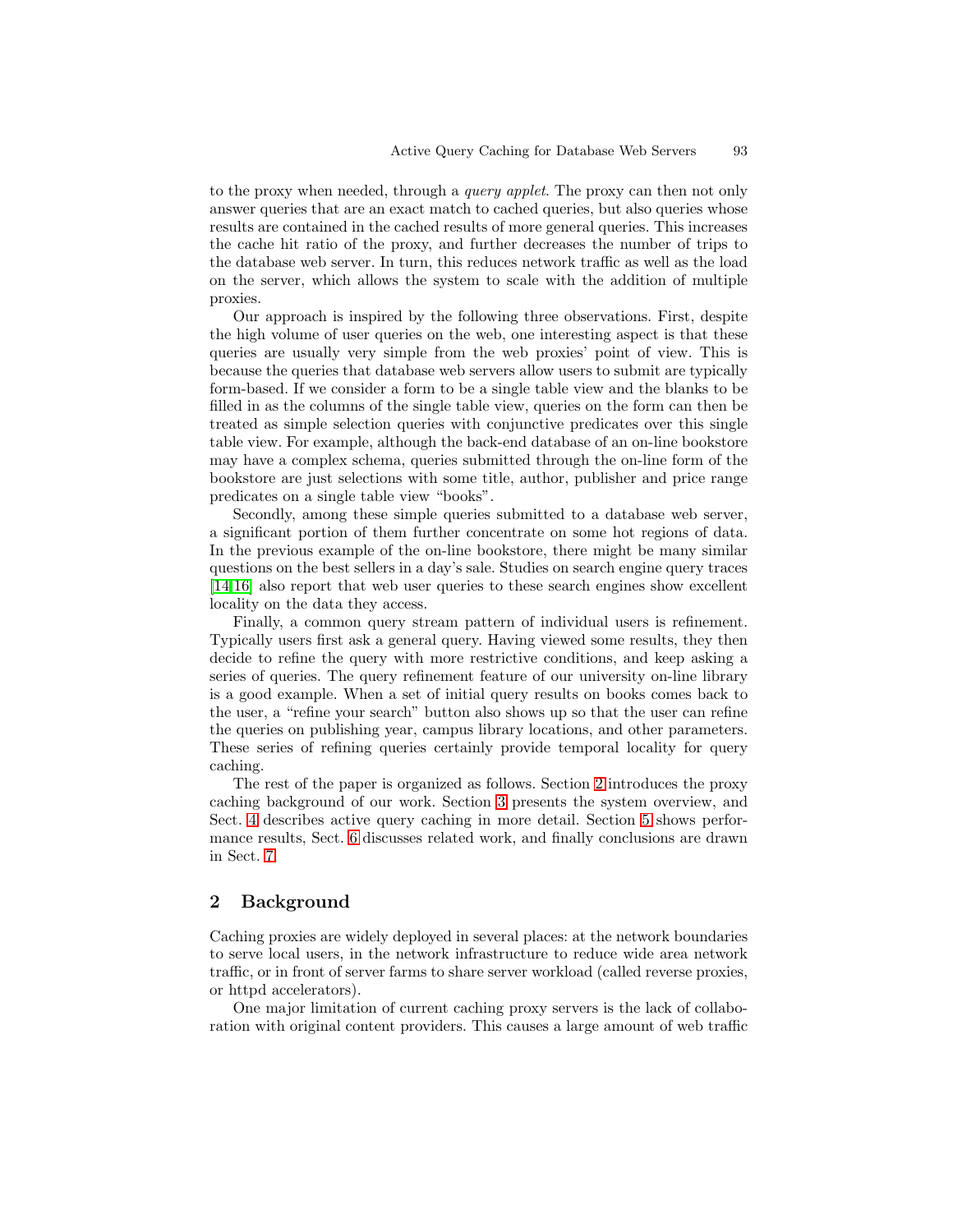to the proxy when needed, through a *query applet*. The proxy can then not only answer queries that are an exact match to cached queries, but also queries whose results are contained in the cached results of more general queries. This increases the cache hit ratio of the proxy, and further decreases the number of trips to the database web server. In turn, this reduces network traffic as well as the load on the server, which allows the system to scale with the addition of multiple proxies.

Our approach is inspired by the following three observations. First, despite the high volume of user queries on the web, one interesting aspect is that these queries are usually very simple from the web proxies' point of view. This is because the queries that database web servers allow users to submit are typically form-based. If we consider a form to be a single table view and the blanks to be filled in as the columns of the single table view, queries on the form can then be treated as simple selection queries with conjunctive predicates over this single table view. For example, although the back-end database of an on-line bookstore may have a complex schema, queries submitted through the on-line form of the bookstore are just selections with some title, author, publisher and price range predicates on a single table view "books".

Secondly, among these simple queries submitted to a database web server, a significant portion of them further concentrate on some hot regions of data. In the previous example of the on-line bookstore, there might be many similar questions on the best sellers in a day's sale. Studies on search engine query traces [\[14,16\]](#page-12-0) also report that web user queries to these search engines show excellent locality on the data they access.

Finally, a common query stream pattern of individual users is refinement. Typically users first ask a general query. Having viewed some results, they then decide to refine the query with more restrictive conditions, and keep asking a series of queries. The query refinement feature of our university on-line library is a good example. When a set of initial query results on books comes back to the user, a "refine your search" button also shows up so that the user can refine the queries on publishing year, campus library locations, and other parameters. These series of refining queries certainly provide temporal locality for query caching.

The rest of the paper is organized as follows. Section 2 introduces the proxy caching background of our work. Section [3](#page-2-0) presents the system overview, and Sect. [4](#page-4-0) describes active query caching in more detail. Section [5](#page-6-0) shows performance results, Sect. [6](#page-10-0) discusses related work, and finally conclusions are drawn in Sect. [7.](#page-10-0)

#### **2 Background**

Caching proxies are widely deployed in several places: at the network boundaries to serve local users, in the network infrastructure to reduce wide area network traffic, or in front of server farms to share server workload (called reverse proxies, or httpd accelerators).

One major limitation of current caching proxy servers is the lack of collaboration with original content providers. This causes a large amount of web traffic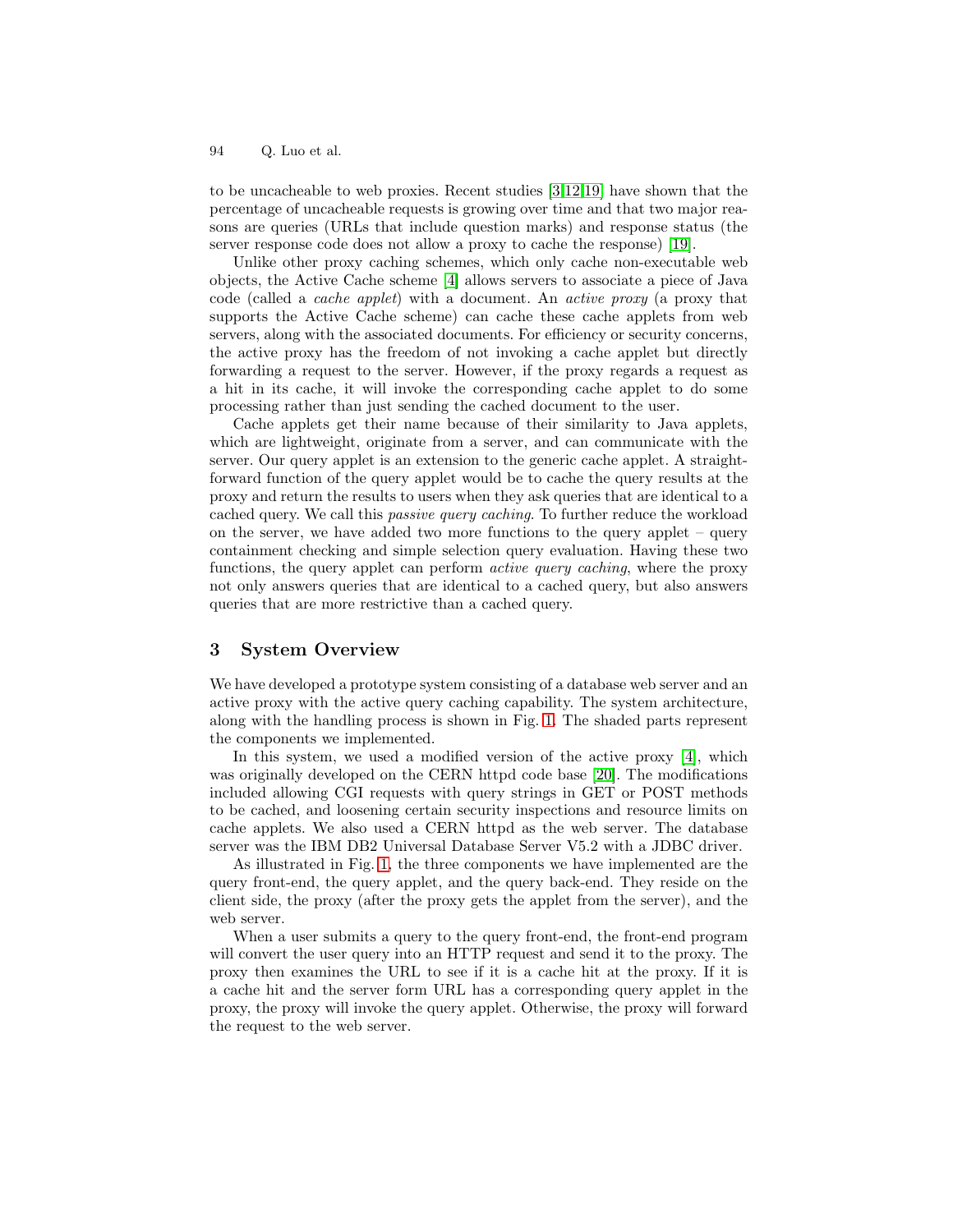<span id="page-2-0"></span>to be uncacheable to web proxies. Recent studies [\[3,](#page-11-0)[12,19\]](#page-12-0) have shown that the percentage of uncacheable requests is growing over time and that two major reasons are queries (URLs that include question marks) and response status (the server response code does not allow a proxy to cache the response) [\[19\]](#page-12-0).

Unlike other proxy caching schemes, which only cache non-executable web objects, the Active Cache scheme [\[4\]](#page-11-0) allows servers to associate a piece of Java code (called a cache applet) with a document. An active proxy (a proxy that supports the Active Cache scheme) can cache these cache applets from web servers, along with the associated documents. For efficiency or security concerns, the active proxy has the freedom of not invoking a cache applet but directly forwarding a request to the server. However, if the proxy regards a request as a hit in its cache, it will invoke the corresponding cache applet to do some processing rather than just sending the cached document to the user.

Cache applets get their name because of their similarity to Java applets, which are lightweight, originate from a server, and can communicate with the server. Our query applet is an extension to the generic cache applet. A straightforward function of the query applet would be to cache the query results at the proxy and return the results to users when they ask queries that are identical to a cached query. We call this passive query caching. To further reduce the workload on the server, we have added two more functions to the query applet – query containment checking and simple selection query evaluation. Having these two functions, the query applet can perform active query caching, where the proxy not only answers queries that are identical to a cached query, but also answers queries that are more restrictive than a cached query.

### **3 System Overview**

We have developed a prototype system consisting of a database web server and an active proxy with the active query caching capability. The system architecture, along with the handling process is shown in Fig. [1.](#page-3-0) The shaded parts represent the components we implemented.

In this system, we used a modified version of the active proxy [\[4\]](#page-11-0), which was originally developed on the CERN httpd code base [\[20\]](#page-12-0). The modifications included allowing CGI requests with query strings in GET or POST methods to be cached, and loosening certain security inspections and resource limits on cache applets. We also used a CERN httpd as the web server. The database server was the IBM DB2 Universal Database Server V5.2 with a JDBC driver.

As illustrated in Fig. [1,](#page-3-0) the three components we have implemented are the query front-end, the query applet, and the query back-end. They reside on the client side, the proxy (after the proxy gets the applet from the server), and the web server.

When a user submits a query to the query front-end, the front-end program will convert the user query into an HTTP request and send it to the proxy. The proxy then examines the URL to see if it is a cache hit at the proxy. If it is a cache hit and the server form URL has a corresponding query applet in the proxy, the proxy will invoke the query applet. Otherwise, the proxy will forward the request to the web server.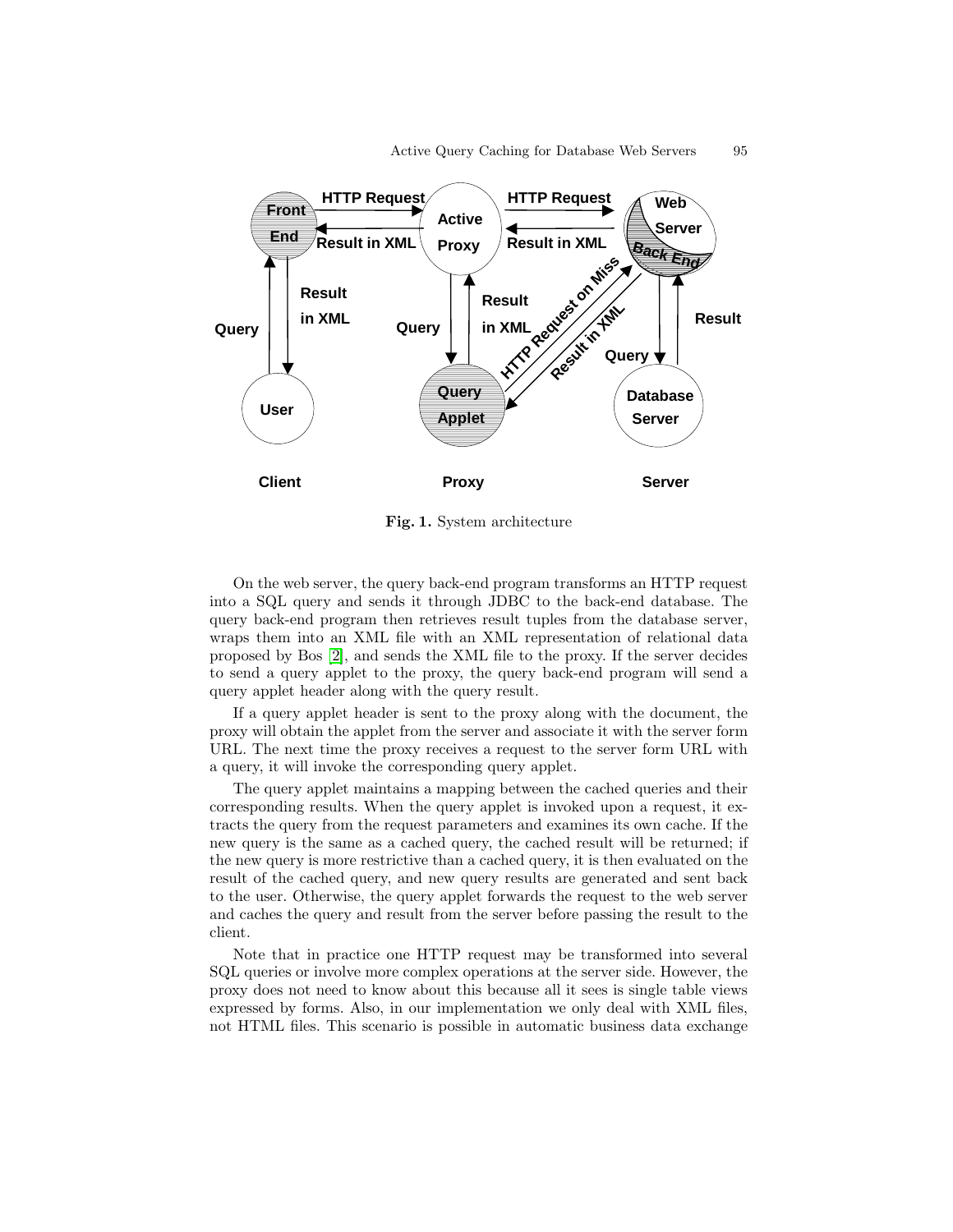<span id="page-3-0"></span>

**Fig. 1.** System architecture

On the web server, the query back-end program transforms an HTTP request into a SQL query and sends it through JDBC to the back-end database. The query back-end program then retrieves result tuples from the database server, wraps them into an XML file with an XML representation of relational data proposed by Bos [\[2\]](#page-11-0), and sends the XML file to the proxy. If the server decides to send a query applet to the proxy, the query back-end program will send a query applet header along with the query result.

If a query applet header is sent to the proxy along with the document, the proxy will obtain the applet from the server and associate it with the server form URL. The next time the proxy receives a request to the server form URL with a query, it will invoke the corresponding query applet.

The query applet maintains a mapping between the cached queries and their corresponding results. When the query applet is invoked upon a request, it extracts the query from the request parameters and examines its own cache. If the new query is the same as a cached query, the cached result will be returned; if the new query is more restrictive than a cached query, it is then evaluated on the result of the cached query, and new query results are generated and sent back to the user. Otherwise, the query applet forwards the request to the web server and caches the query and result from the server before passing the result to the client.

Note that in practice one HTTP request may be transformed into several SQL queries or involve more complex operations at the server side. However, the proxy does not need to know about this because all it sees is single table views expressed by forms. Also, in our implementation we only deal with XML files, not HTML files. This scenario is possible in automatic business data exchange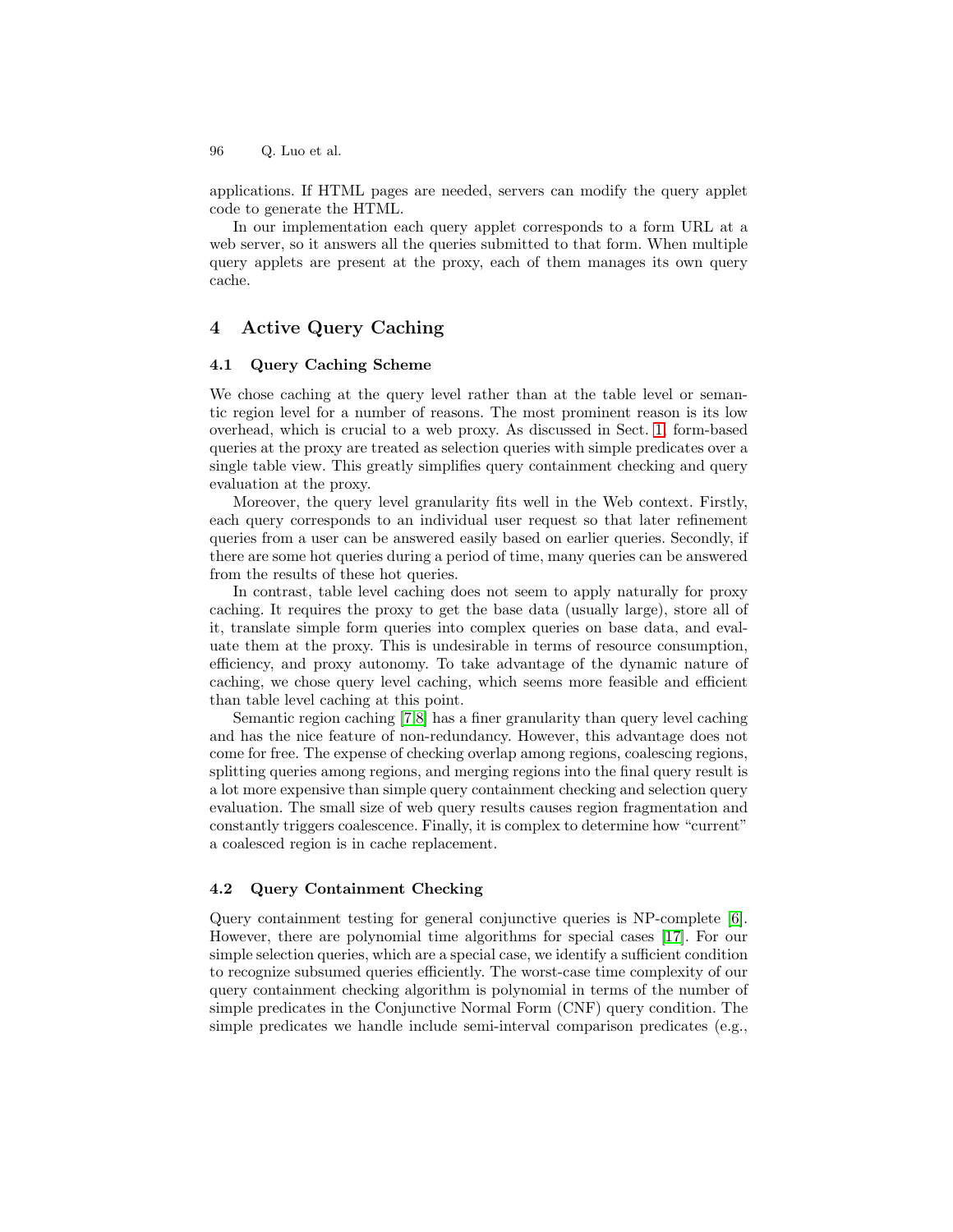<span id="page-4-0"></span>applications. If HTML pages are needed, servers can modify the query applet code to generate the HTML.

In our implementation each query applet corresponds to a form URL at a web server, so it answers all the queries submitted to that form. When multiple query applets are present at the proxy, each of them manages its own query cache.

## **4 Active Query Caching**

#### **4.1 Query Caching Scheme**

We chose caching at the query level rather than at the table level or semantic region level for a number of reasons. The most prominent reason is its low overhead, which is crucial to a web proxy. As discussed in Sect. [1,](#page-0-0) form-based queries at the proxy are treated as selection queries with simple predicates over a single table view. This greatly simplifies query containment checking and query evaluation at the proxy.

Moreover, the query level granularity fits well in the Web context. Firstly, each query corresponds to an individual user request so that later refinement queries from a user can be answered easily based on earlier queries. Secondly, if there are some hot queries during a period of time, many queries can be answered from the results of these hot queries.

In contrast, table level caching does not seem to apply naturally for proxy caching. It requires the proxy to get the base data (usually large), store all of it, translate simple form queries into complex queries on base data, and evaluate them at the proxy. This is undesirable in terms of resource consumption, efficiency, and proxy autonomy. To take advantage of the dynamic nature of caching, we chose query level caching, which seems more feasible and efficient than table level caching at this point.

Semantic region caching [\[7,8\]](#page-12-0) has a finer granularity than query level caching and has the nice feature of non-redundancy. However, this advantage does not come for free. The expense of checking overlap among regions, coalescing regions, splitting queries among regions, and merging regions into the final query result is a lot more expensive than simple query containment checking and selection query evaluation. The small size of web query results causes region fragmentation and constantly triggers coalescence. Finally, it is complex to determine how "current" a coalesced region is in cache replacement.

#### **4.2 Query Containment Checking**

Query containment testing for general conjunctive queries is NP-complete [\[6\]](#page-12-0). However, there are polynomial time algorithms for special cases [\[17\]](#page-12-0). For our simple selection queries, which are a special case, we identify a sufficient condition to recognize subsumed queries efficiently. The worst-case time complexity of our query containment checking algorithm is polynomial in terms of the number of simple predicates in the Conjunctive Normal Form (CNF) query condition. The simple predicates we handle include semi-interval comparison predicates (e.g.,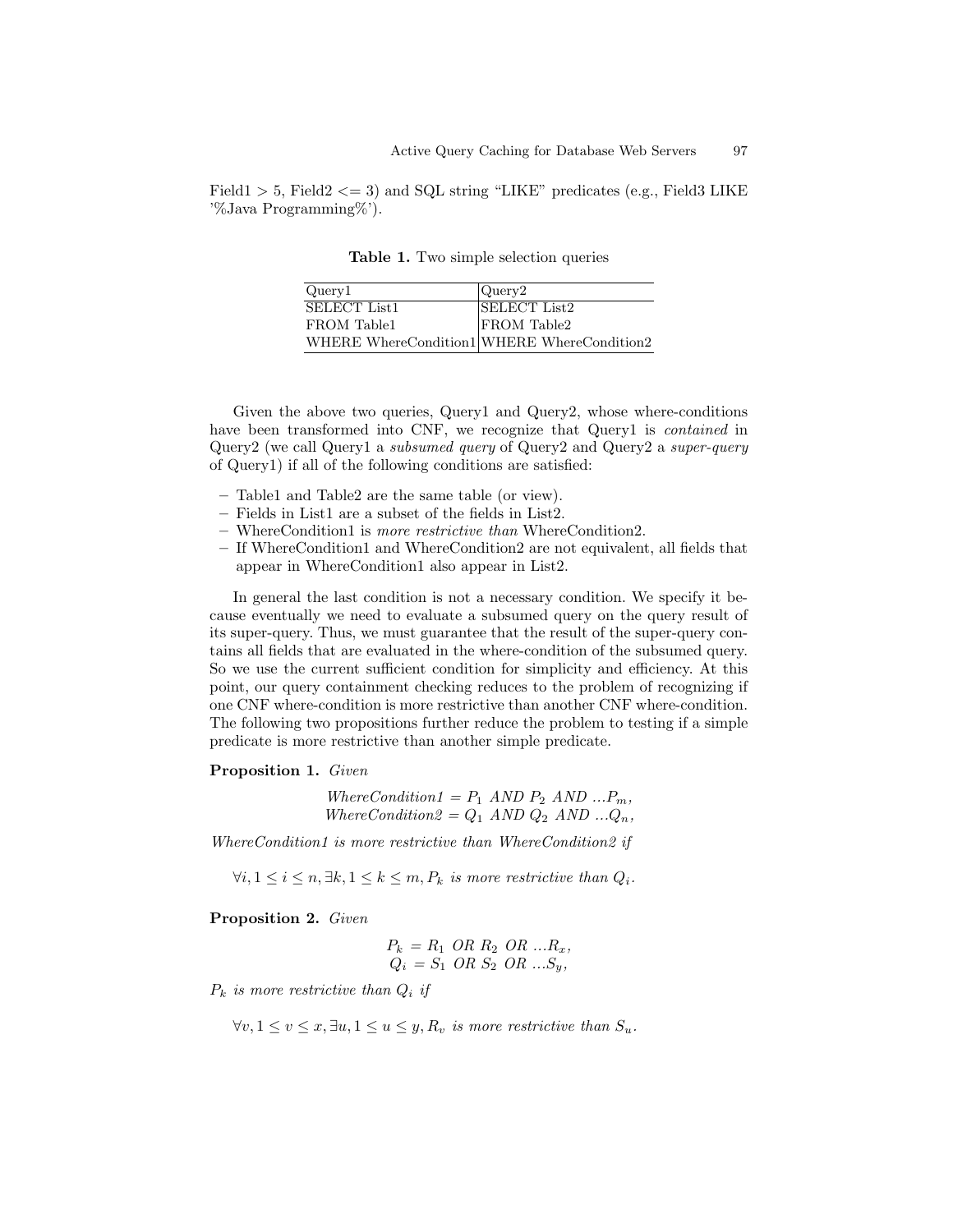Field1  $> 5$ , Field2  $<= 3$ ) and SQL string "LIKE" predicates (e.g., Field3 LIKE '%Java Programming%').

| Query1                                      | $\sqrt{\text{Query2}}$ |
|---------------------------------------------|------------------------|
| <b>SELECT</b> List1                         | SELECT List2           |
| FROM Table1                                 | FROM Table2            |
| WHERE WhereCondition1 WHERE WhereCondition2 |                        |

**Table 1.** Two simple selection queries

Given the above two queries, Query1 and Query2, whose where-conditions have been transformed into CNF, we recognize that Query1 is *contained* in Query2 (we call Query1 a subsumed query of Query2 and Query2 a super-query of Query1) if all of the following conditions are satisfied:

- **–** Table1 and Table2 are the same table (or view).
- **–** Fields in List1 are a subset of the fields in List2.
- **–** WhereCondition1 is more restrictive than WhereCondition2.
- **–** If WhereCondition1 and WhereCondition2 are not equivalent, all fields that appear in WhereCondition1 also appear in List2.

In general the last condition is not a necessary condition. We specify it because eventually we need to evaluate a subsumed query on the query result of its super-query. Thus, we must guarantee that the result of the super-query contains all fields that are evaluated in the where-condition of the subsumed query. So we use the current sufficient condition for simplicity and efficiency. At this point, our query containment checking reduces to the problem of recognizing if one CNF where-condition is more restrictive than another CNF where-condition. The following two propositions further reduce the problem to testing if a simple predicate is more restrictive than another simple predicate.

#### **Proposition 1.** Given

WhereCondition1 =  $P_1$  AND  $P_2$  AND ... $P_m$ , WhereCondition2 =  $Q_1$  AND  $Q_2$  AND ... $Q_n$ ,

WhereCondition1 is more restrictive than WhereCondition2 if

 $\forall i, 1 \leq i \leq n, \exists k, 1 \leq k \leq m, P_k$  is more restrictive than  $Q_i$ .

**Proposition 2.** Given

$$
P_k = R_1 \t OR \t R_2 \t OR \t ... R_x,
$$
  
\n
$$
Q_i = S_1 \t OR \t S_2 \t OR \t ... S_y,
$$

 $P_k$  is more restrictive than  $Q_i$  if

 $\forall v, 1 \le v \le x, \exists u, 1 \le u \le y, R_v$  is more restrictive than  $S_u$ .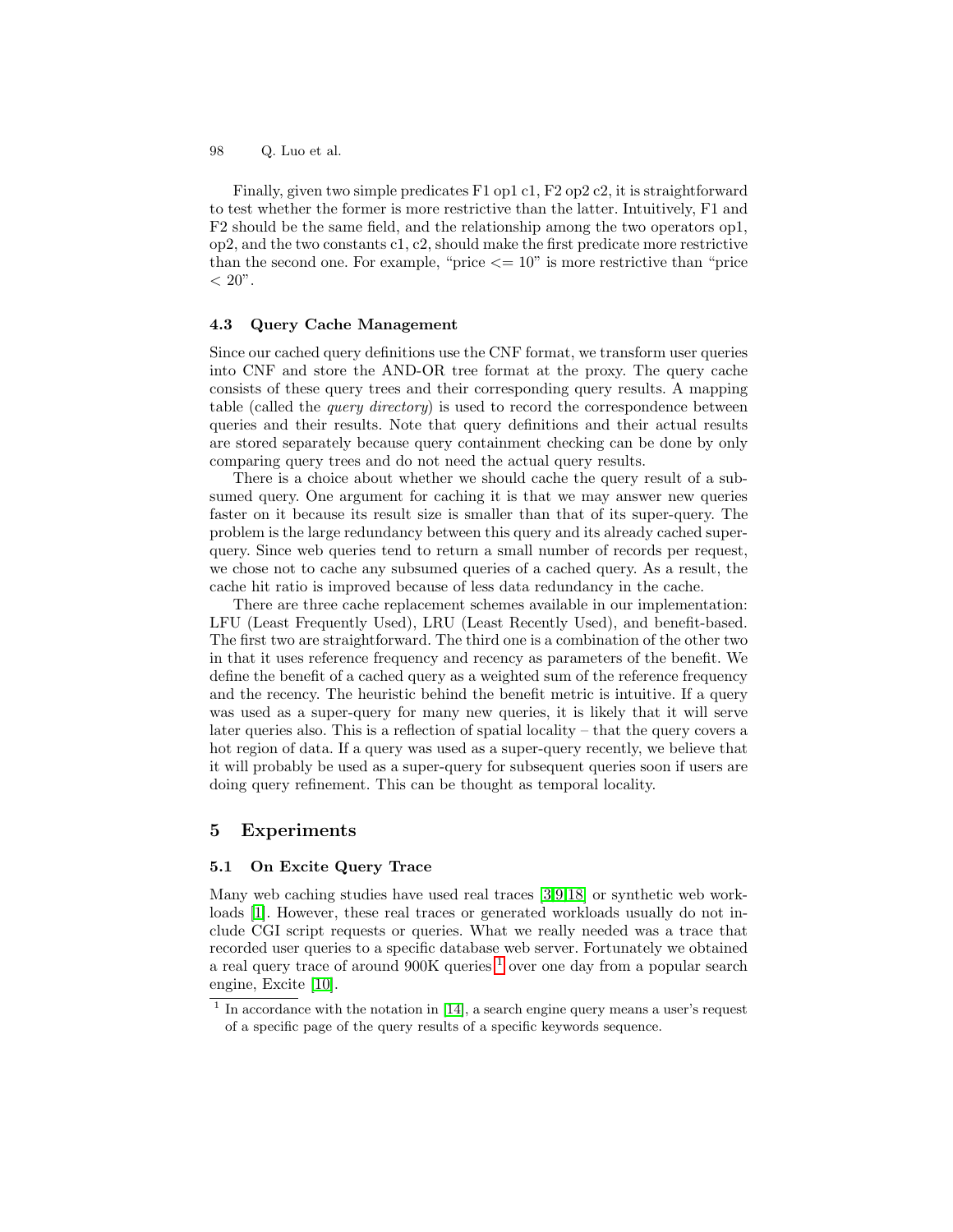<span id="page-6-0"></span>Finally, given two simple predicates F1 op1 c1, F2 op2 c2, it is straightforward to test whether the former is more restrictive than the latter. Intuitively, F1 and F2 should be the same field, and the relationship among the two operators op1, op2, and the two constants c1, c2, should make the first predicate more restrictive than the second one. For example, "price  $\leq$  = 10" is more restrictive than "price  $< 20$ ".

#### **4.3 Query Cache Management**

Since our cached query definitions use the CNF format, we transform user queries into CNF and store the AND-OR tree format at the proxy. The query cache consists of these query trees and their corresponding query results. A mapping table (called the query directory) is used to record the correspondence between queries and their results. Note that query definitions and their actual results are stored separately because query containment checking can be done by only comparing query trees and do not need the actual query results.

There is a choice about whether we should cache the query result of a subsumed query. One argument for caching it is that we may answer new queries faster on it because its result size is smaller than that of its super-query. The problem is the large redundancy between this query and its already cached superquery. Since web queries tend to return a small number of records per request, we chose not to cache any subsumed queries of a cached query. As a result, the cache hit ratio is improved because of less data redundancy in the cache.

There are three cache replacement schemes available in our implementation: LFU (Least Frequently Used), LRU (Least Recently Used), and benefit-based. The first two are straightforward. The third one is a combination of the other two in that it uses reference frequency and recency as parameters of the benefit. We define the benefit of a cached query as a weighted sum of the reference frequency and the recency. The heuristic behind the benefit metric is intuitive. If a query was used as a super-query for many new queries, it is likely that it will serve later queries also. This is a reflection of spatial locality – that the query covers a hot region of data. If a query was used as a super-query recently, we believe that it will probably be used as a super-query for subsequent queries soon if users are doing query refinement. This can be thought as temporal locality.

## **5 Experiments**

#### **5.1 On Excite Query Trace**

Many web caching studies have used real traces [\[3](#page-11-0)[,9,18\]](#page-12-0) or synthetic web workloads [\[1\]](#page-11-0). However, these real traces or generated workloads usually do not include CGI script requests or queries. What we really needed was a trace that recorded user queries to a specific database web server. Fortunately we obtained a real query trace of around  $900K$  queries  $<sup>1</sup>$  over one day from a popular search</sup> engine, Excite [\[10\]](#page-12-0).

 $1$  In accordance with the notation in [\[14\]](#page-12-0), a search engine query means a user's request of a specific page of the query results of a specific keywords sequence.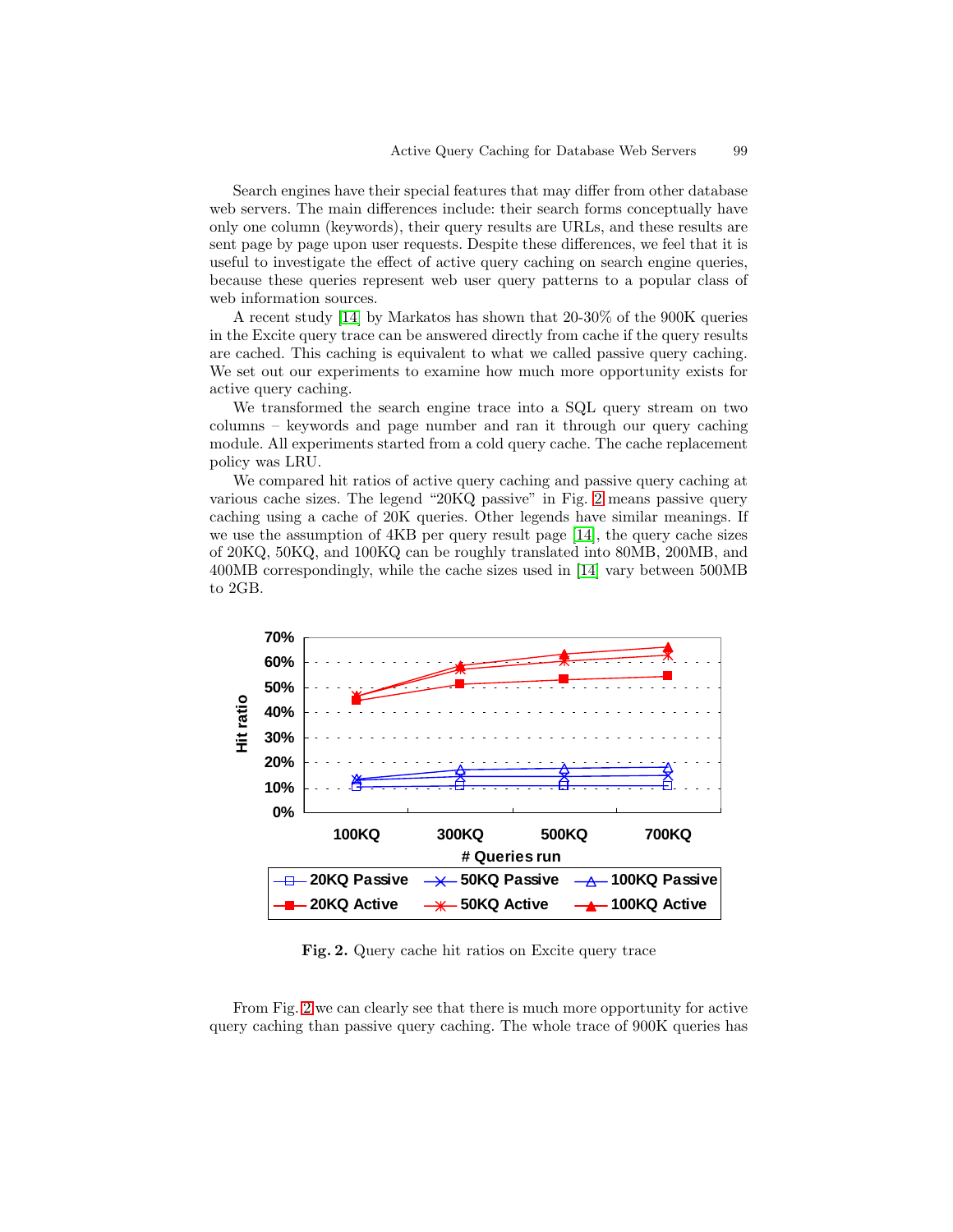Search engines have their special features that may differ from other database web servers. The main differences include: their search forms conceptually have only one column (keywords), their query results are URLs, and these results are sent page by page upon user requests. Despite these differences, we feel that it is useful to investigate the effect of active query caching on search engine queries, because these queries represent web user query patterns to a popular class of web information sources.

A recent study [\[14\]](#page-12-0) by Markatos has shown that 20-30% of the 900K queries in the Excite query trace can be answered directly from cache if the query results are cached. This caching is equivalent to what we called passive query caching. We set out our experiments to examine how much more opportunity exists for active query caching.

We transformed the search engine trace into a SQL query stream on two columns – keywords and page number and ran it through our query caching module. All experiments started from a cold query cache. The cache replacement policy was LRU.

We compared hit ratios of active query caching and passive query caching at various cache sizes. The legend "20KQ passive" in Fig. 2 means passive query caching using a cache of 20K queries. Other legends have similar meanings. If we use the assumption of 4KB per query result page [\[14\]](#page-12-0), the query cache sizes of 20KQ, 50KQ, and 100KQ can be roughly translated into 80MB, 200MB, and 400MB correspondingly, while the cache sizes used in [\[14\]](#page-12-0) vary between 500MB to 2GB.



**Fig. 2.** Query cache hit ratios on Excite query trace

From Fig. 2 we can clearly see that there is much more opportunity for active query caching than passive query caching. The whole trace of 900K queries has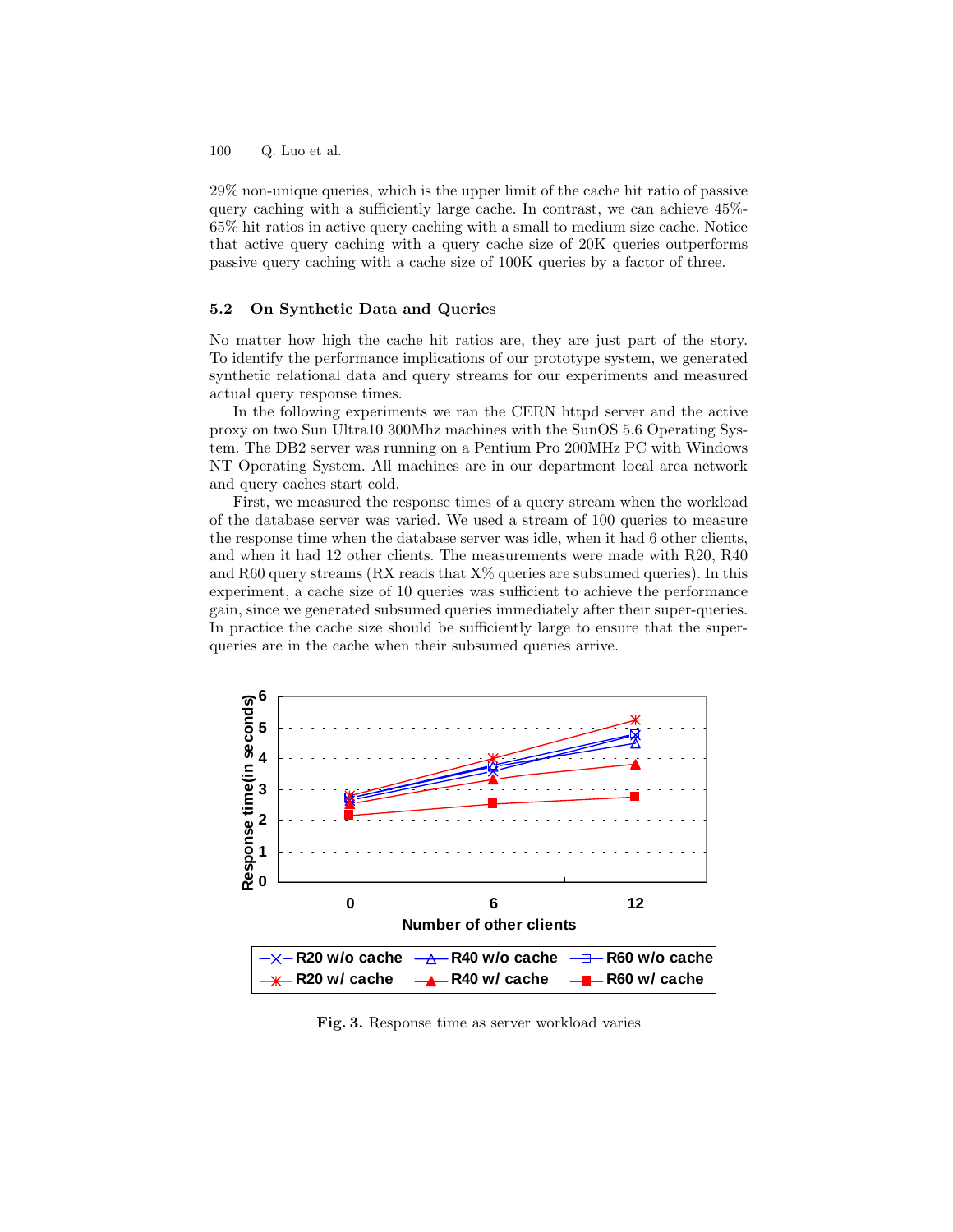<span id="page-8-0"></span>29% non-unique queries, which is the upper limit of the cache hit ratio of passive query caching with a sufficiently large cache. In contrast, we can achieve 45%- 65% hit ratios in active query caching with a small to medium size cache. Notice that active query caching with a query cache size of 20K queries outperforms passive query caching with a cache size of 100K queries by a factor of three.

#### **5.2 On Synthetic Data and Queries**

No matter how high the cache hit ratios are, they are just part of the story. To identify the performance implications of our prototype system, we generated synthetic relational data and query streams for our experiments and measured actual query response times.

In the following experiments we ran the CERN httpd server and the active proxy on two Sun Ultra10 300Mhz machines with the SunOS 5.6 Operating System. The DB2 server was running on a Pentium Pro 200MHz PC with Windows NT Operating System. All machines are in our department local area network and query caches start cold.

First, we measured the response times of a query stream when the workload of the database server was varied. We used a stream of 100 queries to measure the response time when the database server was idle, when it had 6 other clients, and when it had 12 other clients. The measurements were made with R20, R40 and R60 query streams (RX reads that X% queries are subsumed queries). In this experiment, a cache size of 10 queries was sufficient to achieve the performance gain, since we generated subsumed queries immediately after their super-queries. In practice the cache size should be sufficiently large to ensure that the superqueries are in the cache when their subsumed queries arrive.



**Fig. 3.** Response time as server workload varies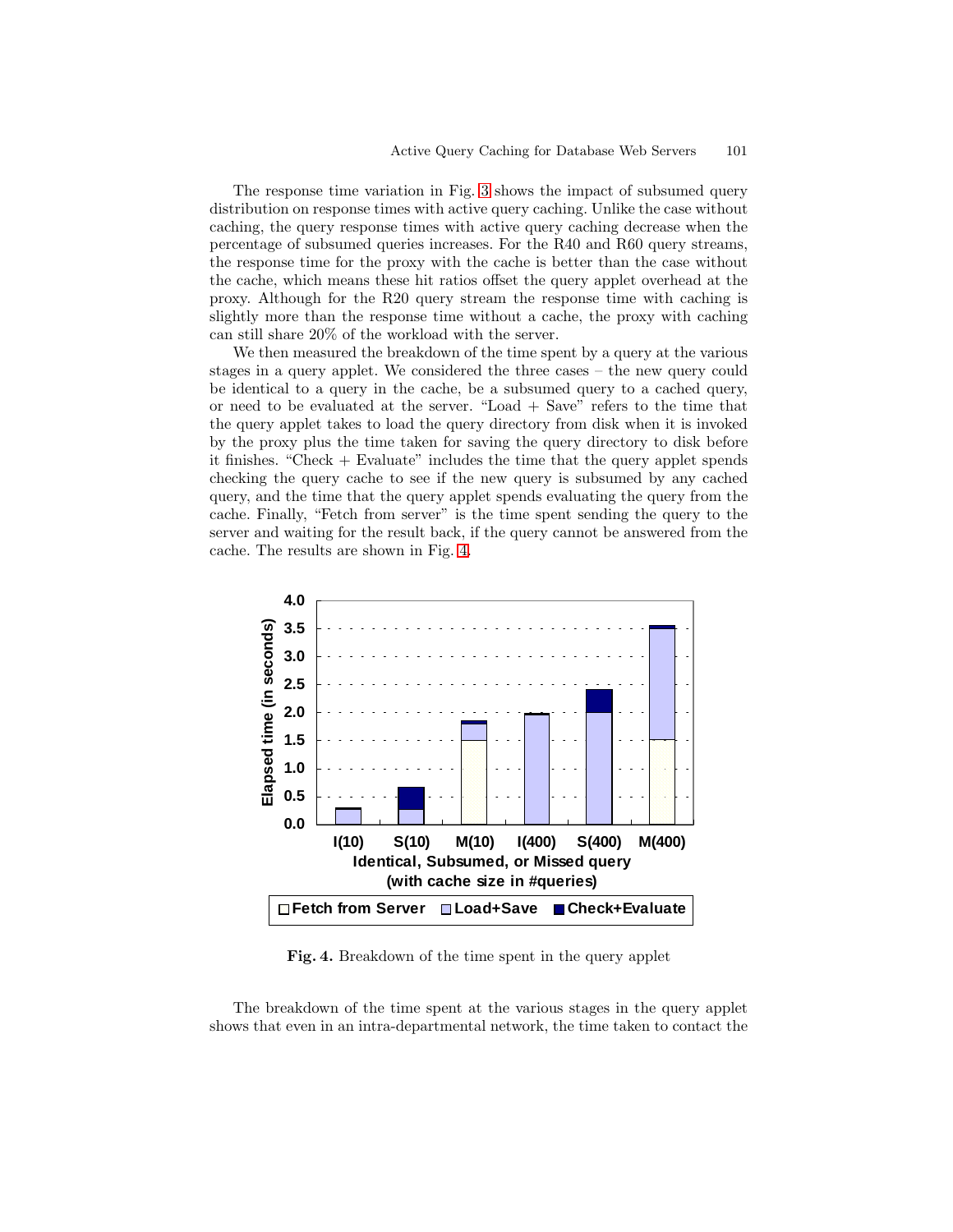The response time variation in Fig. [3](#page-8-0) shows the impact of subsumed query distribution on response times with active query caching. Unlike the case without caching, the query response times with active query caching decrease when the percentage of subsumed queries increases. For the R40 and R60 query streams, the response time for the proxy with the cache is better than the case without the cache, which means these hit ratios offset the query applet overhead at the proxy. Although for the R20 query stream the response time with caching is slightly more than the response time without a cache, the proxy with caching can still share 20% of the workload with the server.

We then measured the breakdown of the time spent by a query at the various stages in a query applet. We considered the three cases – the new query could be identical to a query in the cache, be a subsumed query to a cached query, or need to be evaluated at the server. "Load + Save" refers to the time that the query applet takes to load the query directory from disk when it is invoked by the proxy plus the time taken for saving the query directory to disk before it finishes. "Check + Evaluate" includes the time that the query applet spends checking the query cache to see if the new query is subsumed by any cached query, and the time that the query applet spends evaluating the query from the cache. Finally, "Fetch from server" is the time spent sending the query to the server and waiting for the result back, if the query cannot be answered from the cache. The results are shown in Fig. 4.



**Fig. 4.** Breakdown of the time spent in the query applet

The breakdown of the time spent at the various stages in the query applet shows that even in an intra-departmental network, the time taken to contact the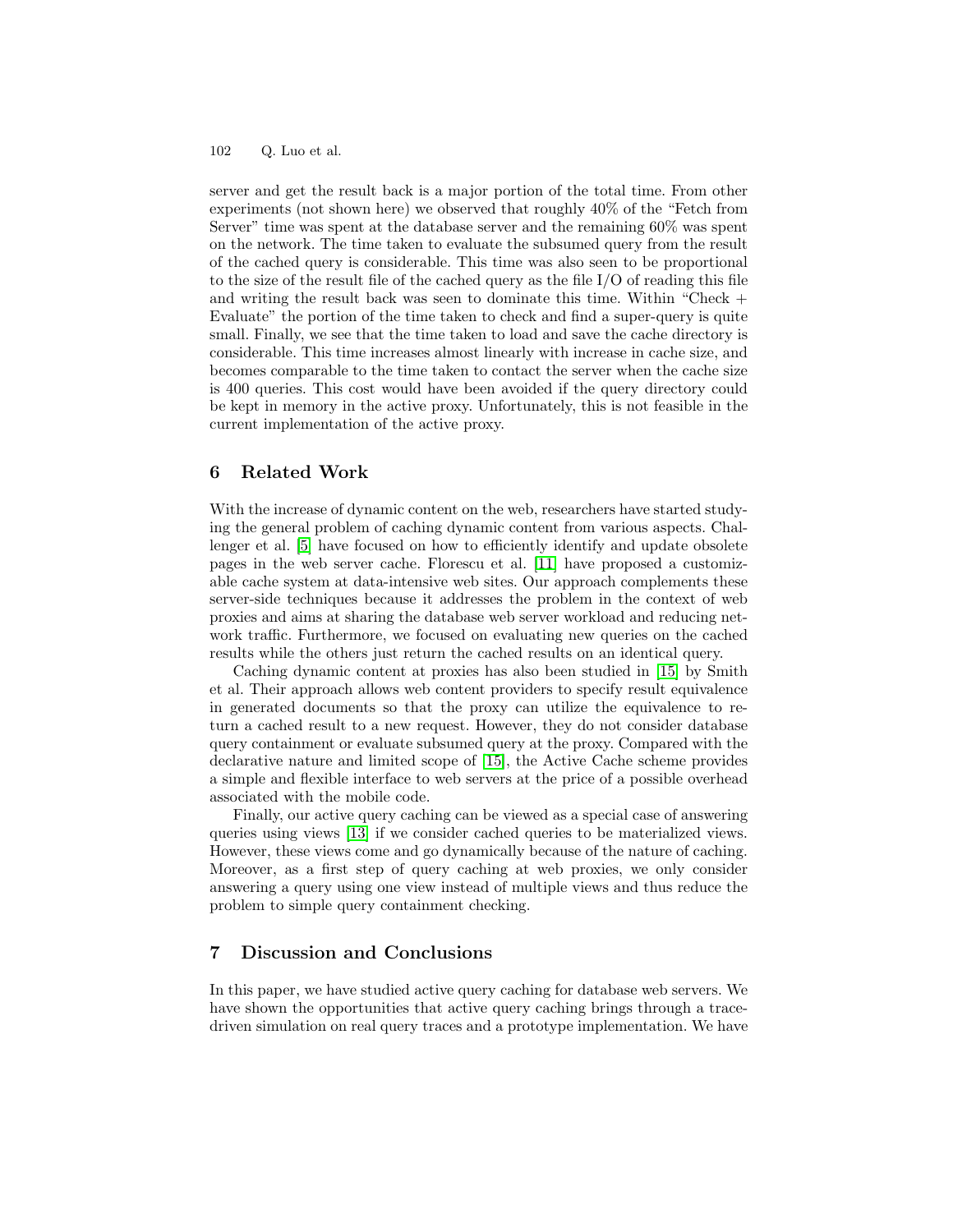<span id="page-10-0"></span>server and get the result back is a major portion of the total time. From other experiments (not shown here) we observed that roughly 40% of the "Fetch from Server" time was spent at the database server and the remaining 60% was spent on the network. The time taken to evaluate the subsumed query from the result of the cached query is considerable. This time was also seen to be proportional to the size of the result file of the cached query as the file I/O of reading this file and writing the result back was seen to dominate this time. Within "Check + Evaluate" the portion of the time taken to check and find a super-query is quite small. Finally, we see that the time taken to load and save the cache directory is considerable. This time increases almost linearly with increase in cache size, and becomes comparable to the time taken to contact the server when the cache size is 400 queries. This cost would have been avoided if the query directory could be kept in memory in the active proxy. Unfortunately, this is not feasible in the current implementation of the active proxy.

### **6 Related Work**

With the increase of dynamic content on the web, researchers have started studying the general problem of caching dynamic content from various aspects. Challenger et al. [\[5\]](#page-11-0) have focused on how to efficiently identify and update obsolete pages in the web server cache. Florescu et al. [\[11\]](#page-12-0) have proposed a customizable cache system at data-intensive web sites. Our approach complements these server-side techniques because it addresses the problem in the context of web proxies and aims at sharing the database web server workload and reducing network traffic. Furthermore, we focused on evaluating new queries on the cached results while the others just return the cached results on an identical query.

Caching dynamic content at proxies has also been studied in [\[15\]](#page-12-0) by Smith et al. Their approach allows web content providers to specify result equivalence in generated documents so that the proxy can utilize the equivalence to return a cached result to a new request. However, they do not consider database query containment or evaluate subsumed query at the proxy. Compared with the declarative nature and limited scope of [\[15\]](#page-12-0), the Active Cache scheme provides a simple and flexible interface to web servers at the price of a possible overhead associated with the mobile code.

Finally, our active query caching can be viewed as a special case of answering queries using views [\[13\]](#page-12-0) if we consider cached queries to be materialized views. However, these views come and go dynamically because of the nature of caching. Moreover, as a first step of query caching at web proxies, we only consider answering a query using one view instead of multiple views and thus reduce the problem to simple query containment checking.

### **7 Discussion and Conclusions**

In this paper, we have studied active query caching for database web servers. We have shown the opportunities that active query caching brings through a tracedriven simulation on real query traces and a prototype implementation. We have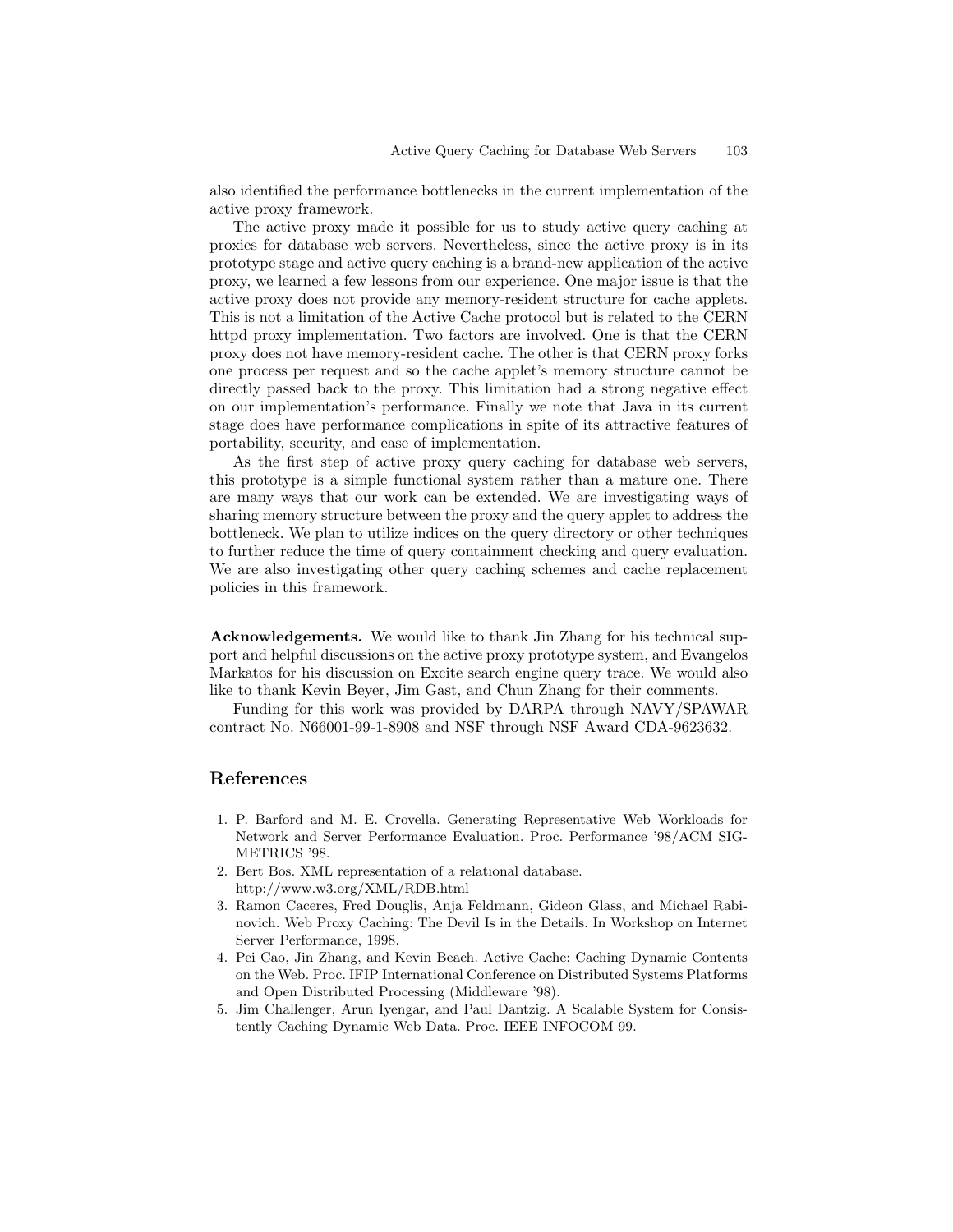<span id="page-11-0"></span>also identified the performance bottlenecks in the current implementation of the active proxy framework.

The active proxy made it possible for us to study active query caching at proxies for database web servers. Nevertheless, since the active proxy is in its prototype stage and active query caching is a brand-new application of the active proxy, we learned a few lessons from our experience. One major issue is that the active proxy does not provide any memory-resident structure for cache applets. This is not a limitation of the Active Cache protocol but is related to the CERN httpd proxy implementation. Two factors are involved. One is that the CERN proxy does not have memory-resident cache. The other is that CERN proxy forks one process per request and so the cache applet's memory structure cannot be directly passed back to the proxy. This limitation had a strong negative effect on our implementation's performance. Finally we note that Java in its current stage does have performance complications in spite of its attractive features of portability, security, and ease of implementation.

As the first step of active proxy query caching for database web servers, this prototype is a simple functional system rather than a mature one. There are many ways that our work can be extended. We are investigating ways of sharing memory structure between the proxy and the query applet to address the bottleneck. We plan to utilize indices on the query directory or other techniques to further reduce the time of query containment checking and query evaluation. We are also investigating other query caching schemes and cache replacement policies in this framework.

**Acknowledgements.** We would like to thank Jin Zhang for his technical support and helpful discussions on the active proxy prototype system, and Evangelos Markatos for his discussion on Excite search engine query trace. We would also like to thank Kevin Beyer, Jim Gast, and Chun Zhang for their comments.

Funding for this work was provided by DARPA through NAVY/SPAWAR contract No. N66001-99-1-8908 and NSF through NSF Award CDA-9623632.

#### **References**

- 1. P. Barford and M. E. Crovella. Generating Representative Web Workloads for Network and Server Performance Evaluation. Proc. Performance '98/ACM SIG-METRICS '98.
- 2. Bert Bos. XML representation of a relational database. http://www.w3.org/XML/RDB.html
- 3. Ramon Caceres, Fred Douglis, Anja Feldmann, Gideon Glass, and Michael Rabinovich. Web Proxy Caching: The Devil Is in the Details. In Workshop on Internet Server Performance, 1998.
- 4. Pei Cao, Jin Zhang, and Kevin Beach. Active Cache: Caching Dynamic Contents on the Web. Proc. IFIP International Conference on Distributed Systems Platforms and Open Distributed Processing (Middleware '98).
- 5. Jim Challenger, Arun Iyengar, and Paul Dantzig. A Scalable System for Consistently Caching Dynamic Web Data. Proc. IEEE INFOCOM 99.